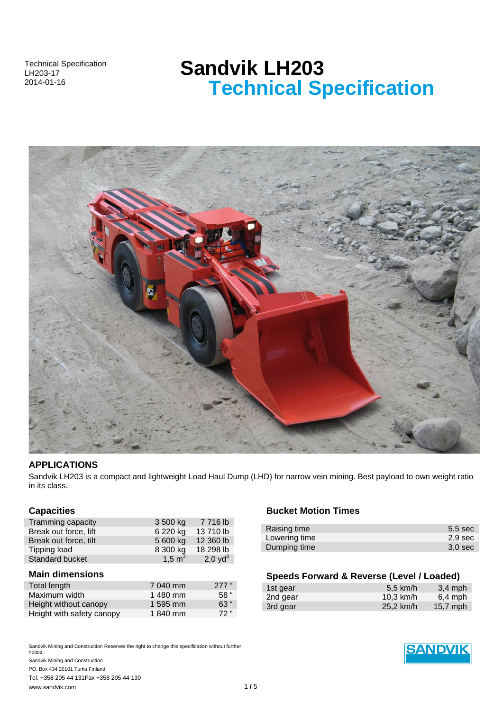Technical Specification LH203-17 2014-01-16

# **Sandvik LH203 Technical Specification**



## **APPLICATIONS**

Sandvik LH203 is a compact and lightweight Load Haul Dump (LHD) for narrow vein mining. Best payload to own weight ratio in its class.

## **Capacities**

| Tramming capacity      | 3 500 kg  | 7 716 lb   |
|------------------------|-----------|------------|
| Break out force, lift  | 6 220 kg  | 13 710 lb  |
| Break out force, tilt  | 5 600 kg  | 12 360 lb  |
| Tipping load           | 8 300 kg  | 18 298 lb  |
| <b>Standard bucket</b> | 1,5 $m^3$ | 2,0 $yd^3$ |

# **Main dimensions**

| Total length              | 7 040 mm | $277$ " |
|---------------------------|----------|---------|
| Maximum width             | 1480 mm  | 58"     |
| Height without canopy     | 1 595 mm | 63 "    |
| Height with safety canopy | 1840 mm  | $72$ "  |

Sandvik Mining and Construction Reserves the right to change this specification without further notice. Sandvik Mining and Construction PO. Box 434 20101 Turku Finland

Tel. +358 205 44 131Fax +358 205 44 130 www.sandvik.com **1/5** 

## **Bucket Motion Times**

| Raising time  | $5.5$ sec          |
|---------------|--------------------|
| Lowering time | 2,9 sec            |
| Dumping time  | 3.0 <sub>sec</sub> |
|               |                    |

# **Speeds Forward & Reverse (Level / Loaded)**

| 1st gear | 5.5 km/h    | $3.4$ mph  |
|----------|-------------|------------|
| 2nd gear | $10.3$ km/h | $6.4$ mph  |
| 3rd gear | 25,2 km/h   | $15,7$ mph |

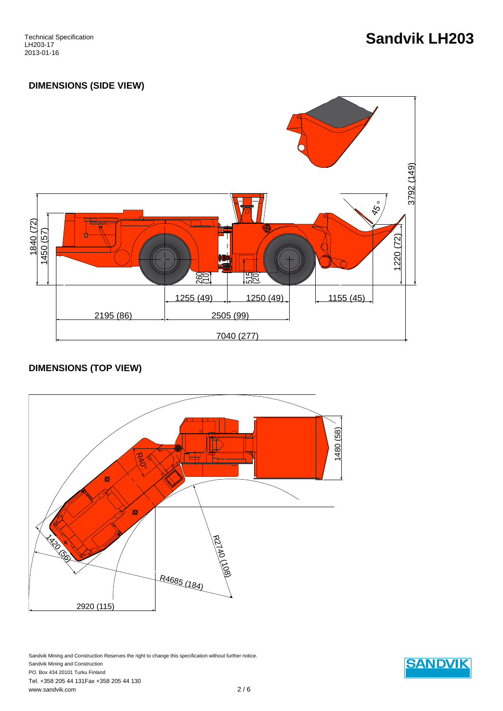# **Sandvik LH203**

# **DIMENSIONS (SIDE VIEW)**



# **DIMENSIONS (TOP VIEW)**



Sandvik Mining and Construction Reserves the right to change this specification without further notice. Sandvik Mining and Construction PO. Box 434 20101 Turku Finland Tel. +358 205 44 131Fax +358 205 44 130 www.sandvik.com 2 / 6

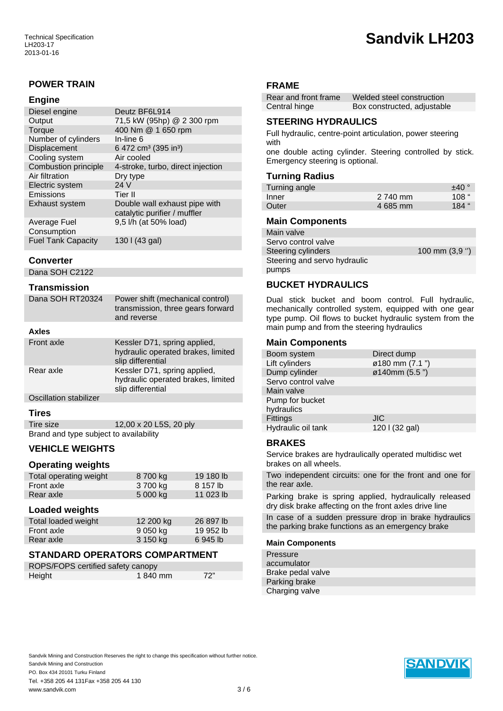# **POWER TRAIN**

### **Engine**

| Deutz BF6L914                                                 |
|---------------------------------------------------------------|
| 71,5 kW (95hp) @ 2 300 rpm                                    |
| 400 Nm @ 1 650 rpm                                            |
| In-line 6                                                     |
| 6 472 cm <sup>3</sup> (395 in <sup>3</sup> )                  |
| Air cooled                                                    |
| 4-stroke, turbo, direct injection                             |
| Dry type                                                      |
| 24 V                                                          |
| Tier II                                                       |
| Double wall exhaust pipe with<br>catalytic purifier / muffler |
| 9,5 l/h (at 50% load)                                         |
| 130   (43 gal)                                                |
|                                                               |

## **Converter**

Dana SOH C2122

### **Transmission**

| Dana SOH RT20324       | Power shift (mechanical control)<br>transmission, three gears forward<br>and reverse    |
|------------------------|-----------------------------------------------------------------------------------------|
| <b>Axles</b>           |                                                                                         |
| Front axle             | Kessler D71, spring applied,<br>hydraulic operated brakes, limited<br>slip differential |
| Rear axle              | Kessler D71, spring applied,<br>hydraulic operated brakes, limited<br>slip differential |
| Oscillation stabilizer |                                                                                         |

## **Tires**

| Tire size                              | 12,00 x 20 L5S, 20 ply |
|----------------------------------------|------------------------|
| Brand and type subject to availability |                        |

# **VEHICLE WEIGHTS**

#### **Operating weights**

| Total operating weight | 8 700 kg | 19 180 lb |
|------------------------|----------|-----------|
| Front axle             | 3 700 kg | 8 157 lb  |
| Rear axle              | 5 000 kg | 11 023 lb |

#### **Loaded weights**

| Total loaded weight | 12 200 kg | 26 897 lb |
|---------------------|-----------|-----------|
| Front axle          | 9 050 kg  | 19 952 lb |
| Rear axle           | 3 150 kg  | 6945 lb   |

## **STANDARD OPERATORS COMPARTMENT**

| ROPS/FOPS certified safety canopy |         |                |
|-----------------------------------|---------|----------------|
| Height                            | 1840 mm | <sup>72"</sup> |

#### **FRAME**

| Rear and front frame | Welded steel construction   |
|----------------------|-----------------------------|
| Central hinge        | Box constructed, adjustable |

# **STEERING HYDRAULICS**

Full hydraulic, centre-point articulation, power steering with

one double acting cylinder. Steering controlled by stick. Emergency steering is optional.

#### **Turning Radius**

| Turning angle |          | ±40°  |
|---------------|----------|-------|
| Inner         | 2 740 mm | 108 " |
| Outer         | 4 685 mm | 184 " |

#### **Main Components**

| Main valve                   |                 |
|------------------------------|-----------------|
| Servo control valve          |                 |
| Steering cylinders           | 100 mm $(3.9")$ |
| Steering and servo hydraulic |                 |
| pumps                        |                 |

## **BUCKET HYDRAULICS**

Dual stick bucket and boom control. Full hydraulic, mechanically controlled system, equipped with one gear type pump. Oil flows to bucket hydraulic system from the main pump and from the steering hydraulics

#### **Main Components**

| Boom system         | Direct dump    |
|---------------------|----------------|
| Lift cylinders      | ø180 mm (7.1") |
| Dump cylinder       | ø140mm (5.5")  |
| Servo control valve |                |
| Main valve          |                |
| Pump for bucket     |                |
| hydraulics          |                |
| Fittings            | <b>JIC</b>     |
| Hydraulic oil tank  | 120 I (32 gal) |
|                     |                |

## **BRAKES**

Service brakes are hydraulically operated multidisc wet brakes on all wheels.

Two independent circuits: one for the front and one for the rear axle.

Parking brake is spring applied, hydraulically released dry disk brake affecting on the front axles drive line

In case of a sudden pressure drop in brake hydraulics the parking brake functions as an emergency brake

#### **Main Components**

| Pressure          |  |
|-------------------|--|
| accumulator       |  |
| Brake pedal valve |  |
| Parking brake     |  |
| Charging valve    |  |

Sandvik Mining and Construction Reserves the right to change this specification without further notice. Sandvik Mining and Construction PO. Box 434 20101 Turku Finland Tel. +358 205 44 131Fax +358 205 44 130



# **Sandvik LH203**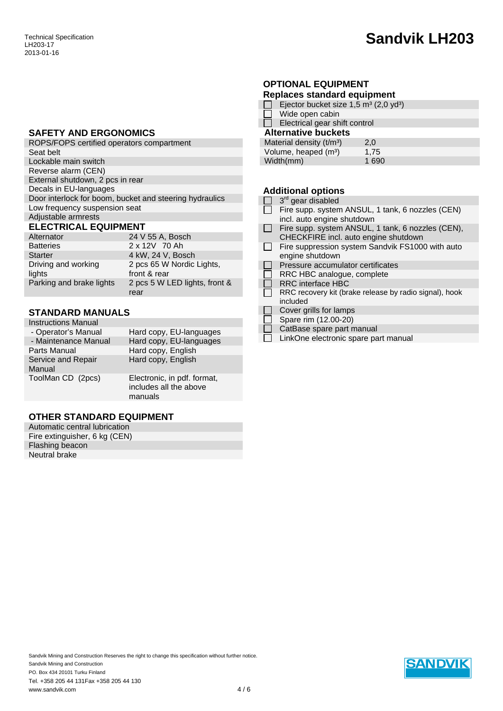# **Sandvik LH203**

## **SAFETY AND ERGONOMICS**

| ROPS/FOPS certified operators compartment               |
|---------------------------------------------------------|
| Seat belt                                               |
| Lockable main switch                                    |
| Reverse alarm (CEN)                                     |
| External shutdown, 2 pcs in rear                        |
| Decals in EU-languages                                  |
| Door interlock for boom, bucket and steering hydraulics |
| Low frequency suspension seat                           |
| Adjustable armrests                                     |
| <b>ELECTRICAL EQUIPMENT</b>                             |

| Alternator                    | 24 V 55 A, Bosch                          |
|-------------------------------|-------------------------------------------|
| <b>Batteries</b>              | 2 x 12V 70 Ah                             |
| Starter                       | 4 kW, 24 V, Bosch                         |
| Driving and working<br>lights | 2 pcs 65 W Nordic Lights,<br>front & rear |
| Parking and brake lights      | 2 pcs 5 W LED lights, front &<br>rear     |

# **STANDARD MANUALS**

| <b>Instructions Manual</b>   |                                                                  |
|------------------------------|------------------------------------------------------------------|
| - Operator's Manual          | Hard copy, EU-languages                                          |
| - Maintenance Manual         | Hard copy, EU-languages                                          |
| Parts Manual                 | Hard copy, English                                               |
| Service and Repair<br>Manual | Hard copy, English                                               |
| ToolMan CD (2pcs)            | Electronic, in pdf. format,<br>includes all the above<br>manuals |

# **OTHER STANDARD EQUIPMENT**

| Automatic central lubrication |  |
|-------------------------------|--|
| Fire extinguisher, 6 kg (CEN) |  |
| Flashing beacon               |  |
| Neutral brake                 |  |

# **OPTIONAL EQUIPMENT**

| <b>Replaces standard equipment</b>                            |      |
|---------------------------------------------------------------|------|
| Ejector bucket size 1,5 m <sup>3</sup> (2,0 yd <sup>3</sup> ) |      |
| Wide open cabin<br>$4\,\mathrm{F}$                            |      |
| Electrical gear shift control                                 |      |
| <b>Alternative buckets</b>                                    |      |
| Material density $(t/m3)$                                     | 2.0  |
| Volume, heaped (m <sup>3</sup> )                              | 1,75 |
| Width(mm)                                                     | 1690 |
|                                                               |      |

# **Additional options**

T,

| 3 <sup>rd</sup> gear disabled                          |
|--------------------------------------------------------|
| Fire supp. system ANSUL, 1 tank, 6 nozzles (CEN)       |
| incl. auto engine shutdown                             |
| Fire supp. system ANSUL, 1 tank, 6 nozzles (CEN),      |
| CHECKFIRE incl. auto engine shutdown                   |
| Fire suppression system Sandvik FS1000 with auto       |
| engine shutdown                                        |
| Pressure accumulator certificates                      |
| RRC HBC analogue, complete                             |
| <b>RRC</b> interface HBC                               |
| RRC recovery kit (brake release by radio signal), hook |
| included                                               |
| Cover grills for lamps                                 |
| Spare rim (12.00-20)                                   |
| CatBase spare part manual                              |
|                                                        |

 $\Box$  LinkOne electronic spare part manual

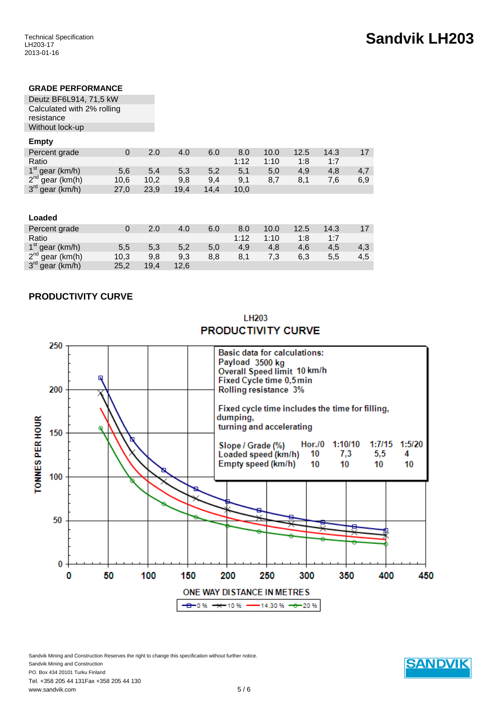## **GRADE PERFORMANCE**

Deutz BF6L914, 71,5 kW Calculated with 2% rolling resistance Without lock-up

# **Empty**

| Percent grade               |      | 2.0  | 4.0  | 6.0  | 8.0  | 10.0 | 12.5 | 14.3 |     |
|-----------------------------|------|------|------|------|------|------|------|------|-----|
| Ratio                       |      |      |      |      | 1:12 | 1:10 | 1:8  | 1.7  |     |
| $1st$ gear (km/h)           | 5,6  | 5,4  | 5,3  | 5.2  | 5,1  | 5,0  | 4.9  | 4.8  | 4.7 |
| $2^{nd}$ gear (km(h)        | 10,6 | 10.2 | 9.8  | 9.4  | 9,1  | 8.7  | 8,1  | 7.6  | 6,9 |
| 3 <sup>rd</sup> gear (km/h) | 27,0 | 23,9 | 19.4 | 14.4 | 10.0 |      |      |      |     |

| Loaded               |      |      |      |     |      |      |      |      |     |
|----------------------|------|------|------|-----|------|------|------|------|-----|
| Percent grade        |      | 2.0  | 4.0  | 6.0 | 8.0  | 10.0 | 12.5 | 14.3 |     |
| Ratio                |      |      |      |     | 1:12 | 1:10 | 1:8  | 1:7  |     |
| $1st$ gear (km/h)    | 5,5  | 5,3  | 5,2  | 5.0 | 4.9  | 4.8  | 4.6  | 4,5  | 4,3 |
| $2^{nd}$ gear (km(h) | 10,3 | 9,8  | 9,3  | 8,8 | 8,1  | 7,3  | 6,3  | 5,5  | 4,5 |
| $3rd$ gear (km/h)    | 25,2 | 19,4 | 12,6 |     |      |      |      |      |     |

## **PRODUCTIVITY CURVE**



LH203 **PRODUCTIVITY CURVE** 

Sandvik Mining and Construction Reserves the right to change this specification without further notice. Sandvik Mining and Construction PO. Box 434 20101 Turku Finland Tel. +358 205 44 131Fax +358 205 44 130 www.sandvik.com 5 / 6